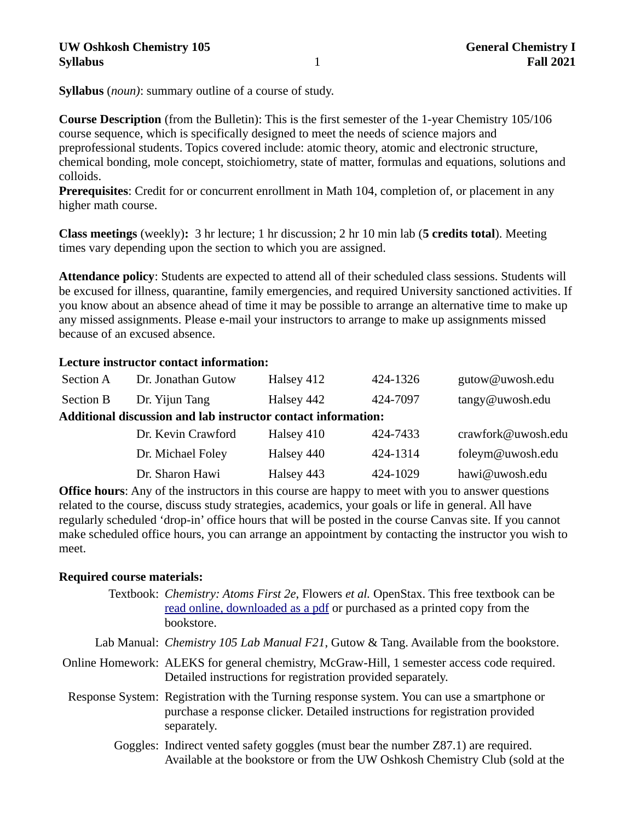**Syllabus** (*noun)*: summary outline of a course of study.

**Course Description** (from the Bulletin): This is the first semester of the 1-year Chemistry 105/106 course sequence, which is specifically designed to meet the needs of science majors and preprofessional students. Topics covered include: atomic theory, atomic and electronic structure, chemical bonding, mole concept, stoichiometry, state of matter, formulas and equations, solutions and colloids.

**Prerequisites**: Credit for or concurrent enrollment in Math 104, completion of, or placement in any higher math course.

**Class meetings** (weekly)**:** 3 hr lecture; 1 hr discussion; 2 hr 10 min lab (**5 credits total**). Meeting times vary depending upon the section to which you are assigned.

**Attendance policy**: Students are expected to attend all of their scheduled class sessions. Students will be excused for illness, quarantine, family emergencies, and required University sanctioned activities. If you know about an absence ahead of time it may be possible to arrange an alternative time to make up any missed assignments. Please e-mail your instructors to arrange to make up assignments missed because of an excused absence.

## **Lecture instructor contact information:**

| Dr. Jonathan Gutow<br>Section A                               |                    | Halsey 412 | 424-1326 | gutow@uwosh.edu    |  |  |  |  |  |
|---------------------------------------------------------------|--------------------|------------|----------|--------------------|--|--|--|--|--|
| <b>Section B</b>                                              | Dr. Yijun Tang     | Halsey 442 | 424-7097 | tangy@uwosh.edu    |  |  |  |  |  |
| Additional discussion and lab instructor contact information: |                    |            |          |                    |  |  |  |  |  |
|                                                               | Dr. Kevin Crawford | Halsey 410 | 424-7433 | crawfork@uwosh.edu |  |  |  |  |  |
|                                                               | Dr. Michael Foley  | Halsey 440 | 424-1314 | foleym@uwosh.edu   |  |  |  |  |  |
|                                                               | Dr. Sharon Hawi    | Halsey 443 | 424-1029 | hawi@uwosh.edu     |  |  |  |  |  |

**Office hours:** Any of the instructors in this course are happy to meet with you to answer questions related to the course, discuss study strategies, academics, your goals or life in general. All have regularly scheduled 'drop-in' office hours that will be posted in the course Canvas site. If you cannot make scheduled office hours, you can arrange an appointment by contacting the instructor you wish to meet.

## **Required course materials:**

Textbook: *Chemistry: Atoms First 2e*, Flowers *et al.* OpenStax. This free textbook can be [read online, downloaded as a pdf](https://openstax.org/details/books/chemistry-atoms-first-2e) or purchased as a printed copy from the bookstore. Lab Manual: *Chemistry 105 Lab Manual F21*, Gutow & Tang. Available from the bookstore. Online Homework: ALEKS for general chemistry, McGraw-Hill, 1 semester access code required. Detailed instructions for registration provided separately. Response System: Registration with the Turning response system. You can use a smartphone or purchase a response clicker. Detailed instructions for registration provided separately. Goggles: Indirect vented safety goggles (must bear the number Z87.1) are required. Available at the bookstore or from the UW Oshkosh Chemistry Club (sold at the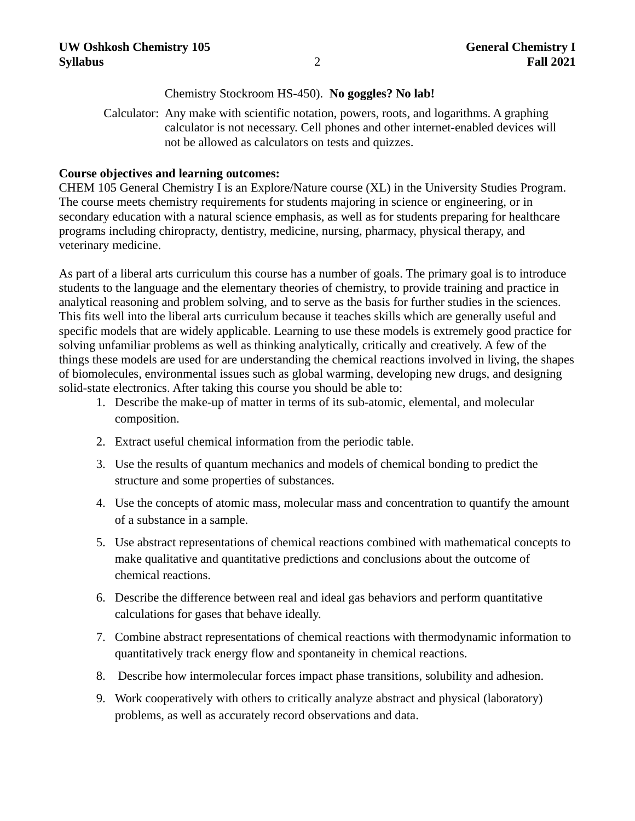#### Chemistry Stockroom HS-450). **No goggles? No lab!**

Calculator: Any make with scientific notation, powers, roots, and logarithms. A graphing calculator is not necessary. Cell phones and other internet-enabled devices will not be allowed as calculators on tests and quizzes.

#### **Course objectives and learning outcomes:**

CHEM 105 General Chemistry I is an Explore/Nature course (XL) in the University Studies Program. The course meets chemistry requirements for students majoring in science or engineering, or in secondary education with a natural science emphasis, as well as for students preparing for healthcare programs including chiropracty, dentistry, medicine, nursing, pharmacy, physical therapy, and veterinary medicine.

As part of a liberal arts curriculum this course has a number of goals. The primary goal is to introduce students to the language and the elementary theories of chemistry, to provide training and practice in analytical reasoning and problem solving, and to serve as the basis for further studies in the sciences. This fits well into the liberal arts curriculum because it teaches skills which are generally useful and specific models that are widely applicable. Learning to use these models is extremely good practice for solving unfamiliar problems as well as thinking analytically, critically and creatively. A few of the things these models are used for are understanding the chemical reactions involved in living, the shapes of biomolecules, environmental issues such as global warming, developing new drugs, and designing solid-state electronics. After taking this course you should be able to:

- 1. Describe the make-up of matter in terms of its sub-atomic, elemental, and molecular composition.
- 2. Extract useful chemical information from the periodic table.
- 3. Use the results of quantum mechanics and models of chemical bonding to predict the structure and some properties of substances.
- 4. Use the concepts of atomic mass, molecular mass and concentration to quantify the amount of a substance in a sample.
- 5. Use abstract representations of chemical reactions combined with mathematical concepts to make qualitative and quantitative predictions and conclusions about the outcome of chemical reactions.
- 6. Describe the difference between real and ideal gas behaviors and perform quantitative calculations for gases that behave ideally.
- 7. Combine abstract representations of chemical reactions with thermodynamic information to quantitatively track energy flow and spontaneity in chemical reactions.
- 8. Describe how intermolecular forces impact phase transitions, solubility and adhesion.
- 9. Work cooperatively with others to critically analyze abstract and physical (laboratory) problems, as well as accurately record observations and data.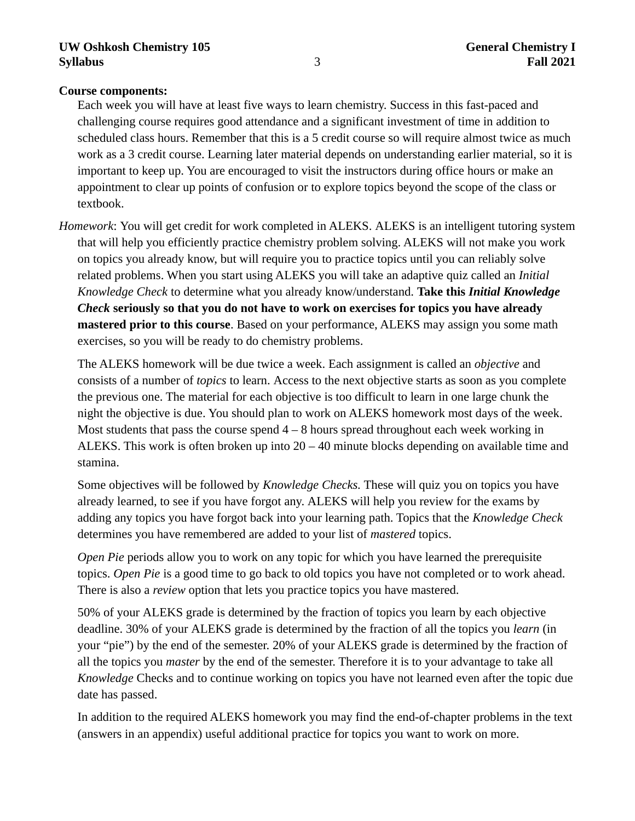#### **Course components:**

Each week you will have at least five ways to learn chemistry. Success in this fast-paced and challenging course requires good attendance and a significant investment of time in addition to scheduled class hours. Remember that this is a 5 credit course so will require almost twice as much work as a 3 credit course. Learning later material depends on understanding earlier material, so it is important to keep up. You are encouraged to visit the instructors during office hours or make an appointment to clear up points of confusion or to explore topics beyond the scope of the class or textbook.

*Homework*: You will get credit for work completed in ALEKS. ALEKS is an intelligent tutoring system that will help you efficiently practice chemistry problem solving. ALEKS will not make you work on topics you already know, but will require you to practice topics until you can reliably solve related problems. When you start using ALEKS you will take an adaptive quiz called an *Initial Knowledge Check* to determine what you already know/understand. **Take this** *Initial Knowledge Check* **seriously so that you do not have to work on exercises for topics you have already mastered prior to this course**. Based on your performance, ALEKS may assign you some math exercises, so you will be ready to do chemistry problems.

The ALEKS homework will be due twice a week. Each assignment is called an *objective* and consists of a number of *topics* to learn. Access to the next objective starts as soon as you complete the previous one. The material for each objective is too difficult to learn in one large chunk the night the objective is due. You should plan to work on ALEKS homework most days of the week. Most students that pass the course spend  $4 - 8$  hours spread throughout each week working in ALEKS. This work is often broken up into 20 – 40 minute blocks depending on available time and stamina.

Some objectives will be followed by *Knowledge Checks.* These will quiz you on topics you have already learned, to see if you have forgot any. ALEKS will help you review for the exams by adding any topics you have forgot back into your learning path. Topics that the *Knowledge Check* determines you have remembered are added to your list of *mastered* topics.

*Open Pie* periods allow you to work on any topic for which you have learned the prerequisite topics. *Open Pie* is a good time to go back to old topics you have not completed or to work ahead. There is also a *review* option that lets you practice topics you have mastered.

50% of your ALEKS grade is determined by the fraction of topics you learn by each objective deadline. 30% of your ALEKS grade is determined by the fraction of all the topics you *learn* (in your "pie") by the end of the semester. 20% of your ALEKS grade is determined by the fraction of all the topics you *master* by the end of the semester. Therefore it is to your advantage to take all *Knowledge* Checks and to continue working on topics you have not learned even after the topic due date has passed.

In addition to the required ALEKS homework you may find the end-of-chapter problems in the text (answers in an appendix) useful additional practice for topics you want to work on more.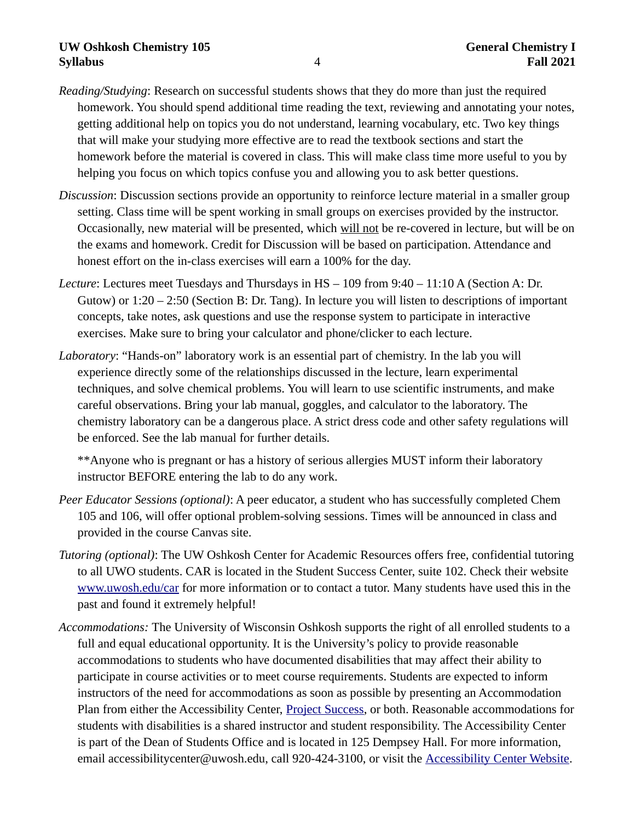- *Reading/Studying*: Research on successful students shows that they do more than just the required homework. You should spend additional time reading the text, reviewing and annotating your notes, getting additional help on topics you do not understand, learning vocabulary, etc. Two key things that will make your studying more effective are to read the textbook sections and start the homework before the material is covered in class. This will make class time more useful to you by helping you focus on which topics confuse you and allowing you to ask better questions.
- *Discussion*: Discussion sections provide an opportunity to reinforce lecture material in a smaller group setting. Class time will be spent working in small groups on exercises provided by the instructor. Occasionally, new material will be presented, which will not be re-covered in lecture, but will be on the exams and homework. Credit for Discussion will be based on participation. Attendance and honest effort on the in-class exercises will earn a 100% for the day.
- *Lecture*: Lectures meet Tuesdays and Thursdays in HS 109 from 9:40 11:10 A (Section A: Dr. Gutow) or 1:20 – 2:50 (Section B: Dr. Tang). In lecture you will listen to descriptions of important concepts, take notes, ask questions and use the response system to participate in interactive exercises. Make sure to bring your calculator and phone/clicker to each lecture.
- *Laboratory*: "Hands-on" laboratory work is an essential part of chemistry. In the lab you will experience directly some of the relationships discussed in the lecture, learn experimental techniques, and solve chemical problems. You will learn to use scientific instruments, and make careful observations. Bring your lab manual, goggles, and calculator to the laboratory. The chemistry laboratory can be a dangerous place. A strict dress code and other safety regulations will be enforced. See the lab manual for further details.

\*\*Anyone who is pregnant or has a history of serious allergies MUST inform their laboratory instructor BEFORE entering the lab to do any work.

- *Peer Educator Sessions (optional)*: A peer educator, a student who has successfully completed Chem 105 and 106, will offer optional problem-solving sessions. Times will be announced in class and provided in the course Canvas site.
- *Tutoring (optional)*: The UW Oshkosh Center for Academic Resources offers free, confidential tutoring to all UWO students. CAR is located in the Student Success Center, suite 102. Check their website [www.uwosh.edu/car](https://www.uwosh.edu/car) for more information or to contact a tutor. Many students have used this in the past and found it extremely helpful!
- *Accommodations:* The University of Wisconsin Oshkosh supports the right of all enrolled students to a full and equal educational opportunity. It is the University's policy to provide reasonable accommodations to students who have documented disabilities that may affect their ability to participate in course activities or to meet course requirements. Students are expected to inform instructors of the need for accommodations as soon as possible by presenting an Accommodation Plan from either the Accessibility Center, [Project Success](https://uwosh.edu/projectsuccess/), or both. Reasonable accommodations for students with disabilities is a shared instructor and student responsibility. The Accessibility Center is part of the Dean of Students Office and is located in 125 Dempsey Hall. For more information, email accessibilitycenter@uwosh.edu, call 920-424-3100, or visit the [Accessibility Center Website](https://uwosh.edu/deanofstudents/accessibility-center/).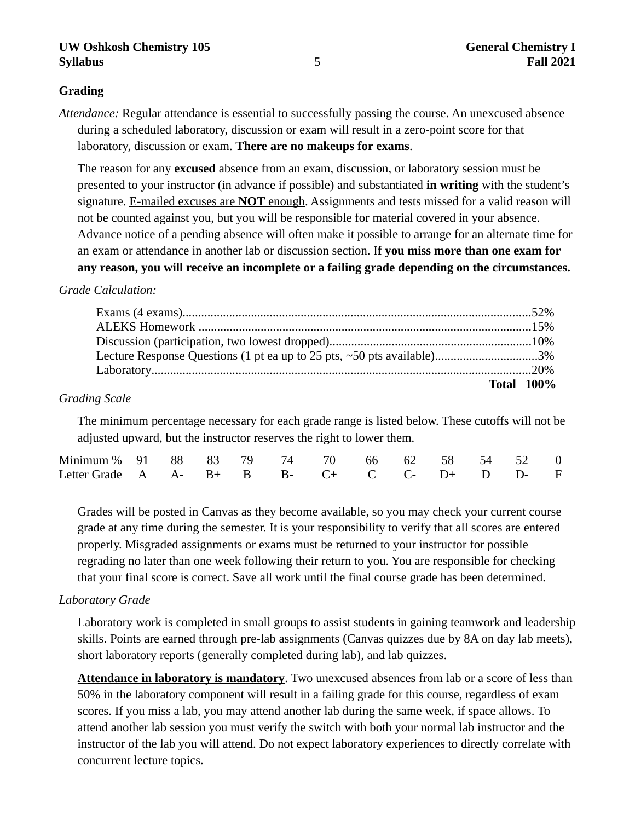# **UW Oshkosh Chemistry 105 General Chemistry I Syllabus** 5 **Fall 2021**

# **Grading**

*Attendance:* Regular attendance is essential to successfully passing the course. An unexcused absence during a scheduled laboratory, discussion or exam will result in a zero-point score for that laboratory, discussion or exam. **There are no makeups for exams**.

The reason for any **excused** absence from an exam, discussion, or laboratory session must be presented to your instructor (in advance if possible) and substantiated **in writing** with the student's signature. E-mailed excuses are **NOT** enough. Assignments and tests missed for a valid reason will not be counted against you, but you will be responsible for material covered in your absence. Advance notice of a pending absence will often make it possible to arrange for an alternate time for an exam or attendance in another lab or discussion section. I**f you miss more than one exam for any reason, you will receive an incomplete or a failing grade depending on the circumstances.**

#### *Grade Calculation:*

| Lecture Response Questions (1 pt ea up to 25 pts, ~50 pts available)3% |               |  |
|------------------------------------------------------------------------|---------------|--|
|                                                                        |               |  |
|                                                                        | Total $100\%$ |  |

#### *Grading Scale*

The minimum percentage necessary for each grade range is listed below. These cutoffs will not be adjusted upward, but the instructor reserves the right to lower them.

| Minimum % 91 88 83 79 74 70 66 62 58 54 52 0 |  |  |  |  |  |  |
|----------------------------------------------|--|--|--|--|--|--|
| Letter Grade A A- B+ B B- C+ C C- D+ D D- F  |  |  |  |  |  |  |

Grades will be posted in Canvas as they become available, so you may check your current course grade at any time during the semester. It is your responsibility to verify that all scores are entered properly. Misgraded assignments or exams must be returned to your instructor for possible regrading no later than one week following their return to you. You are responsible for checking that your final score is correct. Save all work until the final course grade has been determined.

## *Laboratory Grade*

Laboratory work is completed in small groups to assist students in gaining teamwork and leadership skills. Points are earned through pre-lab assignments (Canvas quizzes due by 8A on day lab meets), short laboratory reports (generally completed during lab), and lab quizzes.

**Attendance in laboratory is mandatory**. Two unexcused absences from lab or a score of less than 50% in the laboratory component will result in a failing grade for this course, regardless of exam scores. If you miss a lab, you may attend another lab during the same week, if space allows. To attend another lab session you must verify the switch with both your normal lab instructor and the instructor of the lab you will attend. Do not expect laboratory experiences to directly correlate with concurrent lecture topics.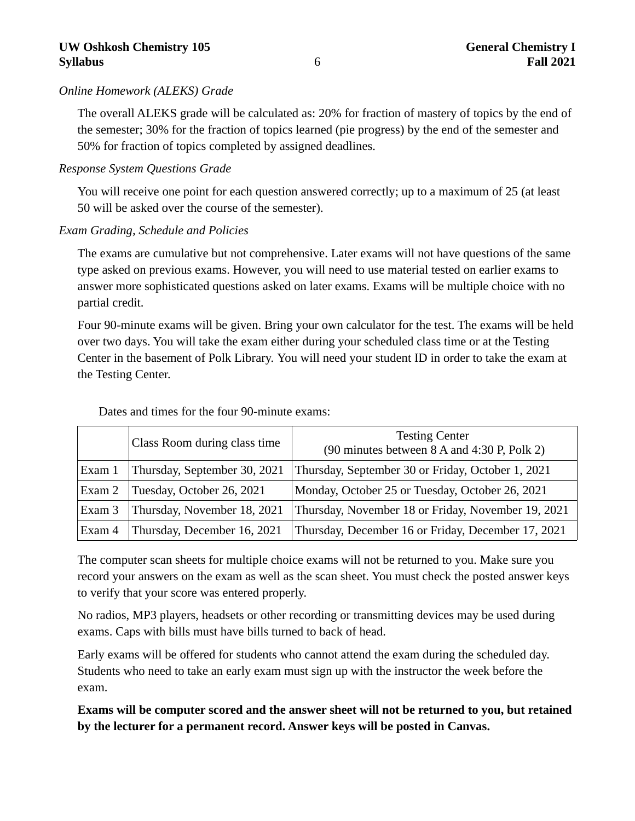# **UW Oshkosh Chemistry 105 General Chemistry I Syllabus** 6 **Fall 2021**

# *Online Homework (ALEKS) Grade*

The overall ALEKS grade will be calculated as: 20% for fraction of mastery of topics by the end of the semester; 30% for the fraction of topics learned (pie progress) by the end of the semester and 50% for fraction of topics completed by assigned deadlines.

## *Response System Questions Grade*

You will receive one point for each question answered correctly; up to a maximum of 25 (at least 50 will be asked over the course of the semester).

## *Exam Grading, Schedule and Policies*

The exams are cumulative but not comprehensive. Later exams will not have questions of the same type asked on previous exams. However, you will need to use material tested on earlier exams to answer more sophisticated questions asked on later exams. Exams will be multiple choice with no partial credit.

Four 90-minute exams will be given. Bring your own calculator for the test. The exams will be held over two days. You will take the exam either during your scheduled class time or at the Testing Center in the basement of Polk Library. You will need your student ID in order to take the exam at the Testing Center.

|        | Class Room during class time | <b>Testing Center</b><br>(90 minutes between 8 A and 4:30 P, Polk 2) |
|--------|------------------------------|----------------------------------------------------------------------|
| Exam 1 | Thursday, September 30, 2021 | Thursday, September 30 or Friday, October 1, 2021                    |
| Exam 2 | Tuesday, October 26, 2021    | Monday, October 25 or Tuesday, October 26, 2021                      |
| Exam 3 | Thursday, November 18, 2021  | Thursday, November 18 or Friday, November 19, 2021                   |
| Exam 4 | Thursday, December 16, 2021  | Thursday, December 16 or Friday, December 17, 2021                   |

Dates and times for the four 90-minute exams:

The computer scan sheets for multiple choice exams will not be returned to you. Make sure you record your answers on the exam as well as the scan sheet. You must check the posted answer keys to verify that your score was entered properly.

No radios, MP3 players, headsets or other recording or transmitting devices may be used during exams. Caps with bills must have bills turned to back of head.

Early exams will be offered for students who cannot attend the exam during the scheduled day. Students who need to take an early exam must sign up with the instructor the week before the exam.

**Exams will be computer scored and the answer sheet will not be returned to you, but retained by the lecturer for a permanent record. Answer keys will be posted in Canvas.**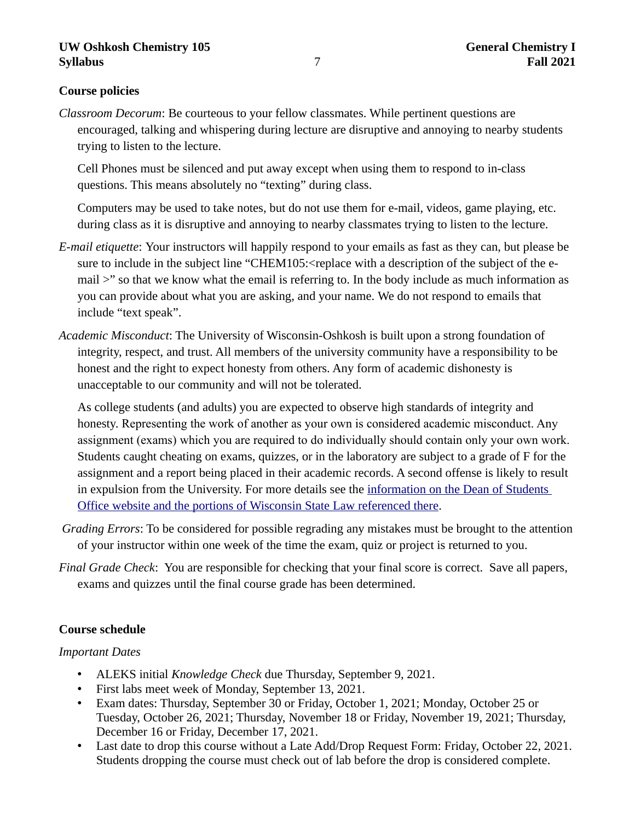# **Course policies**

*Classroom Decorum*: Be courteous to your fellow classmates. While pertinent questions are encouraged, talking and whispering during lecture are disruptive and annoying to nearby students trying to listen to the lecture.

Cell Phones must be silenced and put away except when using them to respond to in-class questions. This means absolutely no "texting" during class.

Computers may be used to take notes, but do not use them for e-mail, videos, game playing, etc. during class as it is disruptive and annoying to nearby classmates trying to listen to the lecture.

- *E-mail etiquette*: Your instructors will happily respond to your emails as fast as they can, but please be sure to include in the subject line "CHEM105:<replace with a description of the subject of the email >" so that we know what the email is referring to. In the body include as much information as you can provide about what you are asking, and your name. We do not respond to emails that include "text speak".
- *Academic Misconduct*: The University of Wisconsin-Oshkosh is built upon a strong foundation of integrity, respect, and trust. All members of the university community have a responsibility to be honest and the right to expect honesty from others. Any form of academic dishonesty is unacceptable to our community and will not be tolerated.

As college students (and adults) you are expected to observe high standards of integrity and honesty. Representing the work of another as your own is considered academic misconduct. Any assignment (exams) which you are required to do individually should contain only your own work. Students caught cheating on exams, quizzes, or in the laboratory are subject to a grade of F for the assignment and a report being placed in their academic records. A second offense is likely to result in expulsion from the University. For more details see the *information on the Dean of Students* [Office website and the portions of Wisconsin State Law referenced there](https://uwosh.edu/deanofstudents/student-conduct/academic-misconduct/).

- *Grading Errors*: To be considered for possible regrading any mistakes must be brought to the attention of your instructor within one week of the time the exam, quiz or project is returned to you.
- *Final Grade Check*: You are responsible for checking that your final score is correct. Save all papers, exams and quizzes until the final course grade has been determined.

## **Course schedule**

# *Important Dates*

- ALEKS initial *Knowledge Check* due Thursday, September 9, 2021.
- First labs meet week of Monday, September 13, 2021.
- Exam dates: Thursday, September 30 or Friday, October 1, 2021; Monday, October 25 or Tuesday, October 26, 2021; Thursday, November 18 or Friday, November 19, 2021; Thursday, December 16 or Friday, December 17, 2021.
- Last date to drop this course without a Late Add/Drop Request Form: Friday, October 22, 2021. Students dropping the course must check out of lab before the drop is considered complete.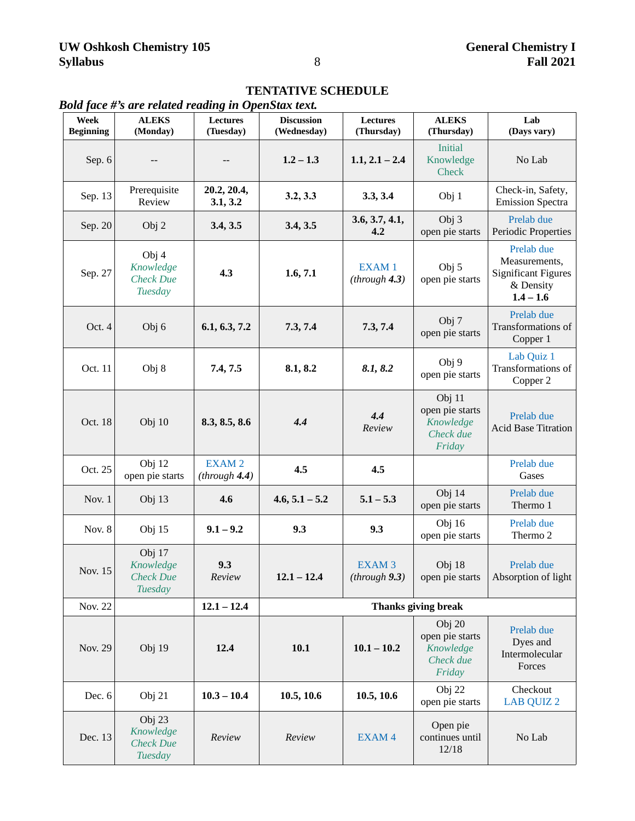# **TENTATIVE SCHEDULE**

| Week<br><b>Beginning</b> | $30\mu$ face $n$ 3 are related redding in OpenStan tend<br><b>ALEKS</b><br>(Monday) | <b>Lectures</b><br>(Tuesday)  | <b>Discussion</b><br>(Wednesday) | <b>Lectures</b><br>(Thursday) | <b>ALEKS</b><br>(Thursday)                                    | Lab<br>(Days vary)                                                                    |
|--------------------------|-------------------------------------------------------------------------------------|-------------------------------|----------------------------------|-------------------------------|---------------------------------------------------------------|---------------------------------------------------------------------------------------|
| Sep. 6                   |                                                                                     |                               | $1.2 - 1.3$                      | $1.1, 2.1 - 2.4$              | <b>Initial</b><br>Knowledge<br><b>Check</b>                   | No Lab                                                                                |
| Sep. 13                  | Prerequisite<br>Review                                                              | 20.2, 20.4,<br>3.1, 3.2       | 3.2, 3.3                         | 3.3, 3.4                      | Obj 1                                                         | Check-in, Safety,<br><b>Emission Spectra</b>                                          |
| Sep. 20                  | Obj 2                                                                               | 3.4, 3.5                      | 3.4, 3.5                         | 3.6, 3.7, 4.1,<br>4.2         | Obj 3<br>open pie starts                                      | Prelab due<br>Periodic Properties                                                     |
| Sep. 27                  | Obj 4<br>Knowledge<br><b>Check Due</b><br><b>Tuesday</b>                            | 4.3                           | 1.6, 7.1                         | <b>EXAM1</b><br>(through 4.3) | Obj 5<br>open pie starts                                      | Prelab due<br>Measurements,<br><b>Significant Figures</b><br>& Density<br>$1.4 - 1.6$ |
| Oct. 4                   | Obj 6                                                                               | 6.1, 6.3, 7.2                 | 7.3, 7.4                         | 7.3, 7.4                      | Obj 7<br>open pie starts                                      | Prelab due<br>Transformations of<br>Copper 1                                          |
| Oct. 11                  | Obj 8                                                                               | 7.4, 7.5                      | 8.1, 8.2                         | 8.1, 8.2                      | Obj 9<br>open pie starts                                      | Lab Quiz 1<br>Transformations of<br>Copper 2                                          |
| Oct. 18                  | Obj 10                                                                              | 8.3, 8.5, 8.6                 | 4.4                              | 4.4<br>Review                 | Obj 11<br>open pie starts<br>Knowledge<br>Check due<br>Friday | Prelab due<br><b>Acid Base Titration</b>                                              |
| Oct. 25                  | Obj 12<br>open pie starts                                                           | <b>EXAM2</b><br>(through 4.4) | 4.5                              | 4.5                           |                                                               | Prelab due<br>Gases                                                                   |
| Nov. 1                   | Obj 13                                                                              | 4.6                           | $4.6, 5.1 - 5.2$                 | $5.1 - 5.3$                   | Obj 14<br>open pie starts                                     | Prelab due<br>Thermo 1                                                                |
| Nov. 8                   | Obj 15                                                                              | $9.1 - 9.2$                   | 9.3                              | 9.3                           | Obj 16<br>open pie starts                                     | Prelab due<br>Thermo 2                                                                |
| Nov. 15                  | Obj 17<br>Knowledge<br><b>Check Due</b><br>Tuesday                                  | 9.3<br>Review                 | $12.1 - 12.4$                    | <b>EXAM3</b><br>(through 9.3) | Obj 18<br>open pie starts                                     | Prelab due<br>Absorption of light                                                     |
| <b>Nov. 22</b>           |                                                                                     | $12.1 - 12.4$                 |                                  |                               | <b>Thanks giving break</b>                                    |                                                                                       |
| Nov. 29                  | Obj 19                                                                              | 12.4                          | 10.1                             | $10.1 - 10.2$                 | Obj 20<br>open pie starts<br>Knowledge<br>Check due<br>Friday | Prelab due<br>Dyes and<br>Intermolecular<br>Forces                                    |
| Dec. 6                   | Obj 21                                                                              | $10.3 - 10.4$                 | 10.5, 10.6                       | 10.5, 10.6                    | Obj 22<br>open pie starts                                     | Checkout<br><b>LAB QUIZ 2</b>                                                         |
| Dec. 13                  | Obj 23<br>Knowledge<br><b>Check Due</b><br><b>Tuesday</b>                           | Review                        | Review                           | EXAM <sub>4</sub>             | Open pie<br>continues until<br>12/18                          | No Lab                                                                                |

# *Bold face #'s are related reading in OpenStax text.*